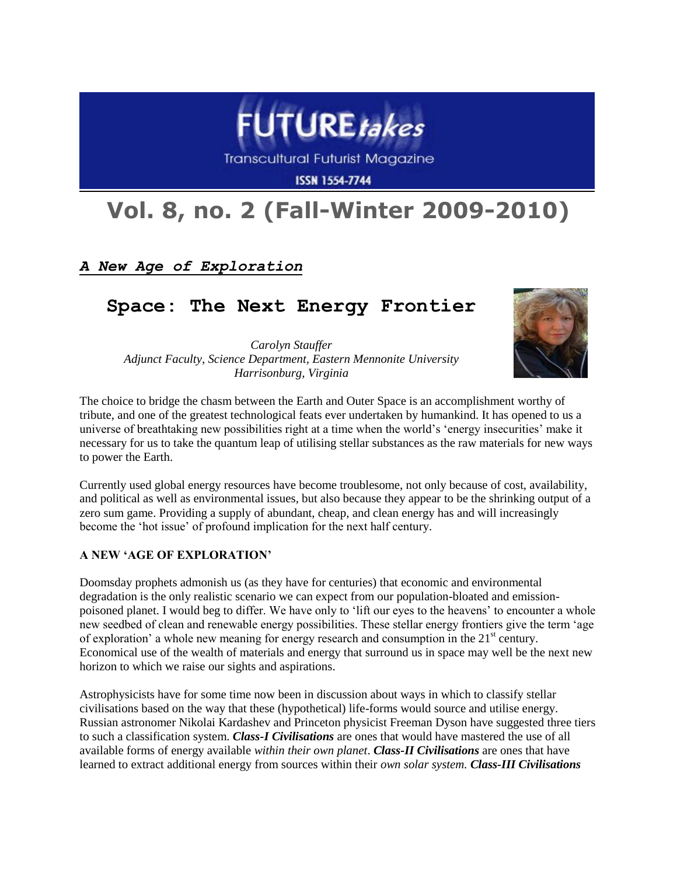

**Transcultural Futurist Magazine** 

**ISSN 1554-7744** 

# **Vol. 8, no. 2 (Fall-Winter 2009-2010)**

# *A New Age of Exploration*

# **Space: The Next Energy Frontier**

*Carolyn Stauffer Adjunct Faculty, Science Department, Eastern Mennonite University Harrisonburg, Virginia*



The choice to bridge the chasm between the Earth and Outer Space is an accomplishment worthy of tribute, and one of the greatest technological feats ever undertaken by humankind. It has opened to us a universe of breathtaking new possibilities right at a time when the world"s "energy insecurities" make it necessary for us to take the quantum leap of utilising stellar substances as the raw materials for new ways to power the Earth.

Currently used global energy resources have become troublesome, not only because of cost, availability, and political as well as environmental issues, but also because they appear to be the shrinking output of a zero sum game. Providing a supply of abundant, cheap, and clean energy has and will increasingly become the "hot issue" of profound implication for the next half century.

#### **A NEW 'AGE OF EXPLORATION'**

Doomsday prophets admonish us (as they have for centuries) that economic and environmental degradation is the only realistic scenario we can expect from our population-bloated and emissionpoisoned planet. I would beg to differ. We have only to "lift our eyes to the heavens" to encounter a whole new seedbed of clean and renewable energy possibilities. These stellar energy frontiers give the term "age of exploration' a whole new meaning for energy research and consumption in the  $21<sup>st</sup>$  century. Economical use of the wealth of materials and energy that surround us in space may well be the next new horizon to which we raise our sights and aspirations.

Astrophysicists have for some time now been in discussion about ways in which to classify stellar civilisations based on the way that these (hypothetical) life-forms would source and utilise energy. Russian astronomer Nikolai Kardashev and Princeton physicist Freeman Dyson have suggested three tiers to such a classification system. *Class-I Civilisations* are ones that would have mastered the use of all available forms of energy available *within their own planet*. *Class-II Civilisations* are ones that have learned to extract additional energy from sources within their *own solar system. Class-III Civilisations*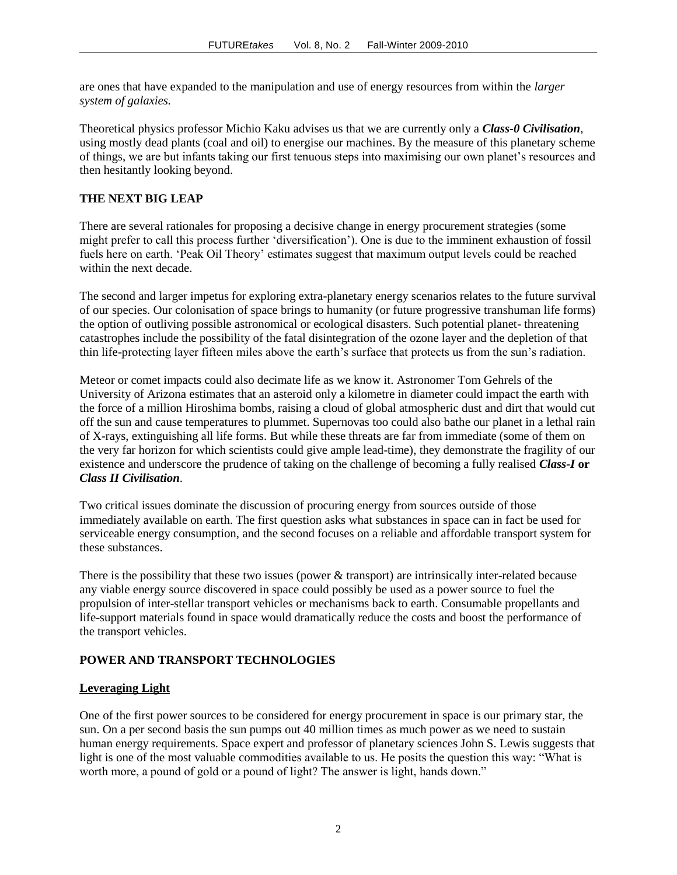are ones that have expanded to the manipulation and use of energy resources from within the *larger system of galaxies.*

Theoretical physics professor Michio Kaku advises us that we are currently only a *Class-0 Civilisation*, using mostly dead plants (coal and oil) to energise our machines. By the measure of this planetary scheme of things, we are but infants taking our first tenuous steps into maximising our own planet"s resources and then hesitantly looking beyond.

#### **THE NEXT BIG LEAP**

There are several rationales for proposing a decisive change in energy procurement strategies (some might prefer to call this process further "diversification"). One is due to the imminent exhaustion of fossil fuels here on earth. "Peak Oil Theory" estimates suggest that maximum output levels could be reached within the next decade.

The second and larger impetus for exploring extra-planetary energy scenarios relates to the future survival of our species. Our colonisation of space brings to humanity (or future progressive transhuman life forms) the option of outliving possible astronomical or ecological disasters. Such potential planet- threatening catastrophes include the possibility of the fatal disintegration of the ozone layer and the depletion of that thin life-protecting layer fifteen miles above the earth"s surface that protects us from the sun"s radiation.

Meteor or comet impacts could also decimate life as we know it. Astronomer Tom Gehrels of the University of Arizona estimates that an asteroid only a kilometre in diameter could impact the earth with the force of a million Hiroshima bombs, raising a cloud of global atmospheric dust and dirt that would cut off the sun and cause temperatures to plummet. Supernovas too could also bathe our planet in a lethal rain of X-rays, extinguishing all life forms. But while these threats are far from immediate (some of them on the very far horizon for which scientists could give ample lead-time), they demonstrate the fragility of our existence and underscore the prudence of taking on the challenge of becoming a fully realised *Class-I* **or** *Class II Civilisation*.

Two critical issues dominate the discussion of procuring energy from sources outside of those immediately available on earth. The first question asks what substances in space can in fact be used for serviceable energy consumption, and the second focuses on a reliable and affordable transport system for these substances.

There is the possibility that these two issues (power & transport) are intrinsically inter-related because any viable energy source discovered in space could possibly be used as a power source to fuel the propulsion of inter-stellar transport vehicles or mechanisms back to earth. Consumable propellants and life-support materials found in space would dramatically reduce the costs and boost the performance of the transport vehicles.

# **POWER AND TRANSPORT TECHNOLOGIES**

# **Leveraging Light**

One of the first power sources to be considered for energy procurement in space is our primary star, the sun. On a per second basis the sun pumps out 40 million times as much power as we need to sustain human energy requirements. Space expert and professor of planetary sciences John S. Lewis suggests that light is one of the most valuable commodities available to us. He posits the question this way: "What is worth more, a pound of gold or a pound of light? The answer is light, hands down."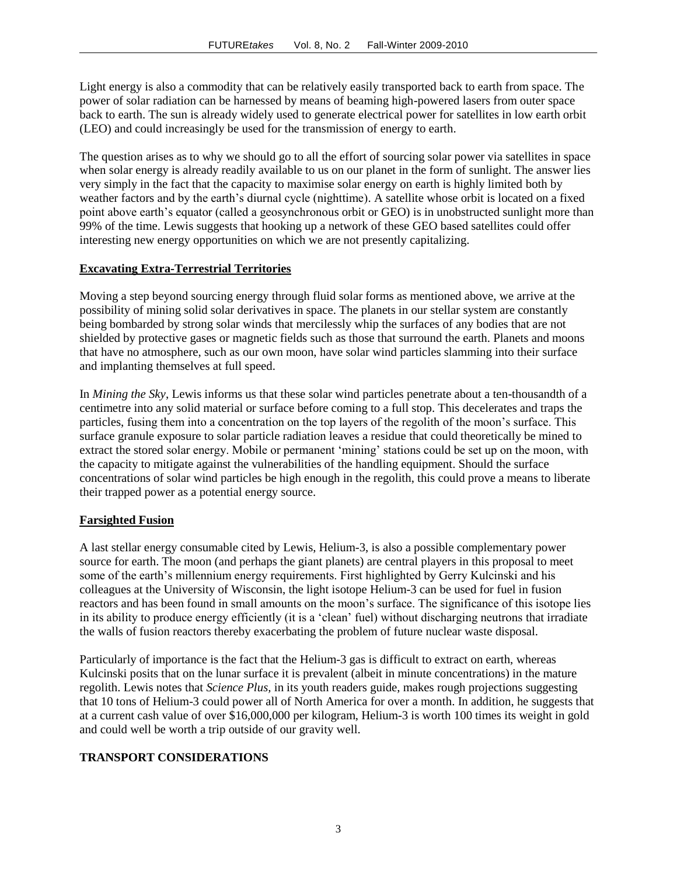Light energy is also a commodity that can be relatively easily transported back to earth from space. The power of solar radiation can be harnessed by means of beaming high-powered lasers from outer space back to earth. The sun is already widely used to generate electrical power for satellites in low earth orbit (LEO) and could increasingly be used for the transmission of energy to earth.

The question arises as to why we should go to all the effort of sourcing solar power via satellites in space when solar energy is already readily available to us on our planet in the form of sunlight. The answer lies very simply in the fact that the capacity to maximise solar energy on earth is highly limited both by weather factors and by the earth"s diurnal cycle (nighttime). A satellite whose orbit is located on a fixed point above earth"s equator (called a geosynchronous orbit or GEO) is in unobstructed sunlight more than 99% of the time. Lewis suggests that hooking up a network of these GEO based satellites could offer interesting new energy opportunities on which we are not presently capitalizing.

#### **Excavating Extra-Terrestrial Territories**

Moving a step beyond sourcing energy through fluid solar forms as mentioned above, we arrive at the possibility of mining solid solar derivatives in space. The planets in our stellar system are constantly being bombarded by strong solar winds that mercilessly whip the surfaces of any bodies that are not shielded by protective gases or magnetic fields such as those that surround the earth. Planets and moons that have no atmosphere, such as our own moon, have solar wind particles slamming into their surface and implanting themselves at full speed.

In *Mining the Sky*, Lewis informs us that these solar wind particles penetrate about a ten-thousandth of a centimetre into any solid material or surface before coming to a full stop. This decelerates and traps the particles, fusing them into a concentration on the top layers of the regolith of the moon"s surface. This surface granule exposure to solar particle radiation leaves a residue that could theoretically be mined to extract the stored solar energy. Mobile or permanent "mining" stations could be set up on the moon, with the capacity to mitigate against the vulnerabilities of the handling equipment. Should the surface concentrations of solar wind particles be high enough in the regolith, this could prove a means to liberate their trapped power as a potential energy source.

#### **Farsighted Fusion**

A last stellar energy consumable cited by Lewis, Helium-3, is also a possible complementary power source for earth. The moon (and perhaps the giant planets) are central players in this proposal to meet some of the earth's millennium energy requirements. First highlighted by Gerry Kulcinski and his colleagues at the University of Wisconsin, the light isotope Helium-3 can be used for fuel in fusion reactors and has been found in small amounts on the moon"s surface. The significance of this isotope lies in its ability to produce energy efficiently (it is a "clean" fuel) without discharging neutrons that irradiate the walls of fusion reactors thereby exacerbating the problem of future nuclear waste disposal.

Particularly of importance is the fact that the Helium-3 gas is difficult to extract on earth, whereas Kulcinski posits that on the lunar surface it is prevalent (albeit in minute concentrations) in the mature regolith. Lewis notes that *Science Plus,* in its youth readers guide, makes rough projections suggesting that 10 tons of Helium-3 could power all of North America for over a month. In addition, he suggests that at a current cash value of over \$16,000,000 per kilogram, Helium-3 is worth 100 times its weight in gold and could well be worth a trip outside of our gravity well.

# **TRANSPORT CONSIDERATIONS**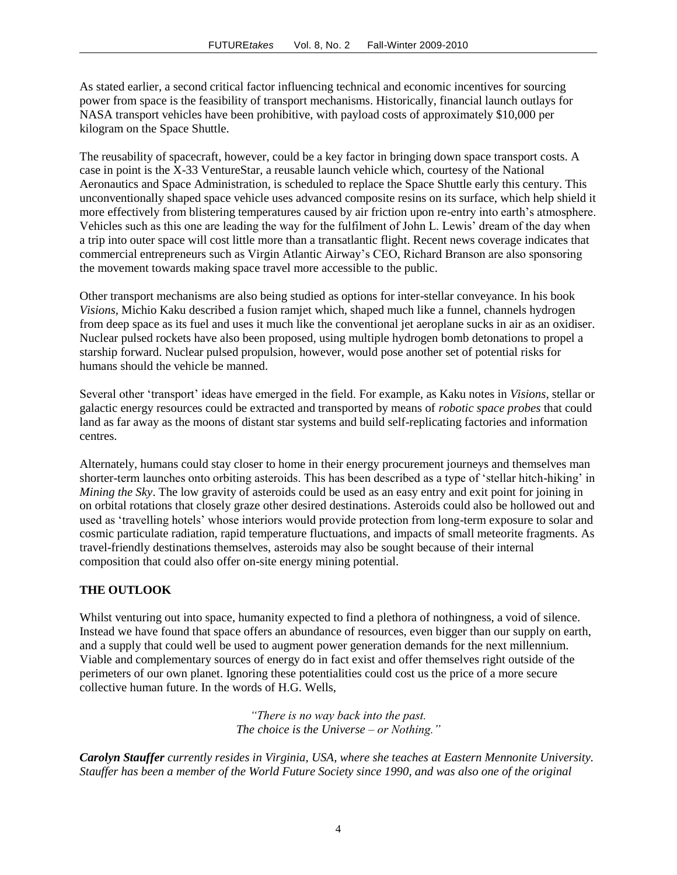As stated earlier, a second critical factor influencing technical and economic incentives for sourcing power from space is the feasibility of transport mechanisms. Historically, financial launch outlays for NASA transport vehicles have been prohibitive, with payload costs of approximately \$10,000 per kilogram on the Space Shuttle.

The reusability of spacecraft, however, could be a key factor in bringing down space transport costs. A case in point is the X-33 VentureStar, a reusable launch vehicle which, courtesy of the National Aeronautics and Space Administration, is scheduled to replace the Space Shuttle early this century. This unconventionally shaped space vehicle uses advanced composite resins on its surface, which help shield it more effectively from blistering temperatures caused by air friction upon re-entry into earth"s atmosphere. Vehicles such as this one are leading the way for the fulfilment of John L. Lewis" dream of the day when a trip into outer space will cost little more than a transatlantic flight. Recent news coverage indicates that commercial entrepreneurs such as Virgin Atlantic Airway"s CEO, Richard Branson are also sponsoring the movement towards making space travel more accessible to the public.

Other transport mechanisms are also being studied as options for inter-stellar conveyance. In his book *Visions,* Michio Kaku described a fusion ramjet which, shaped much like a funnel, channels hydrogen from deep space as its fuel and uses it much like the conventional jet aeroplane sucks in air as an oxidiser. Nuclear pulsed rockets have also been proposed, using multiple hydrogen bomb detonations to propel a starship forward. Nuclear pulsed propulsion, however, would pose another set of potential risks for humans should the vehicle be manned.

Several other "transport" ideas have emerged in the field. For example, as Kaku notes in *Visions*, stellar or galactic energy resources could be extracted and transported by means of *robotic space probes* that could land as far away as the moons of distant star systems and build self-replicating factories and information centres.

Alternately, humans could stay closer to home in their energy procurement journeys and themselves man shorter-term launches onto orbiting asteroids. This has been described as a type of "stellar hitch-hiking" in *Mining the Sky*. The low gravity of asteroids could be used as an easy entry and exit point for joining in on orbital rotations that closely graze other desired destinations. Asteroids could also be hollowed out and used as "travelling hotels" whose interiors would provide protection from long-term exposure to solar and cosmic particulate radiation, rapid temperature fluctuations, and impacts of small meteorite fragments. As travel-friendly destinations themselves, asteroids may also be sought because of their internal composition that could also offer on-site energy mining potential.

# **THE OUTLOOK**

Whilst venturing out into space, humanity expected to find a plethora of nothingness, a void of silence. Instead we have found that space offers an abundance of resources, even bigger than our supply on earth, and a supply that could well be used to augment power generation demands for the next millennium. Viable and complementary sources of energy do in fact exist and offer themselves right outside of the perimeters of our own planet. Ignoring these potentialities could cost us the price of a more secure collective human future. In the words of H.G. Wells,

> *"There is no way back into the past. The choice is the Universe – or Nothing."*

*Carolyn Stauffer currently resides in Virginia, USA, where she teaches at Eastern Mennonite University. Stauffer has been a member of the World Future Society since 1990, and was also one of the original*